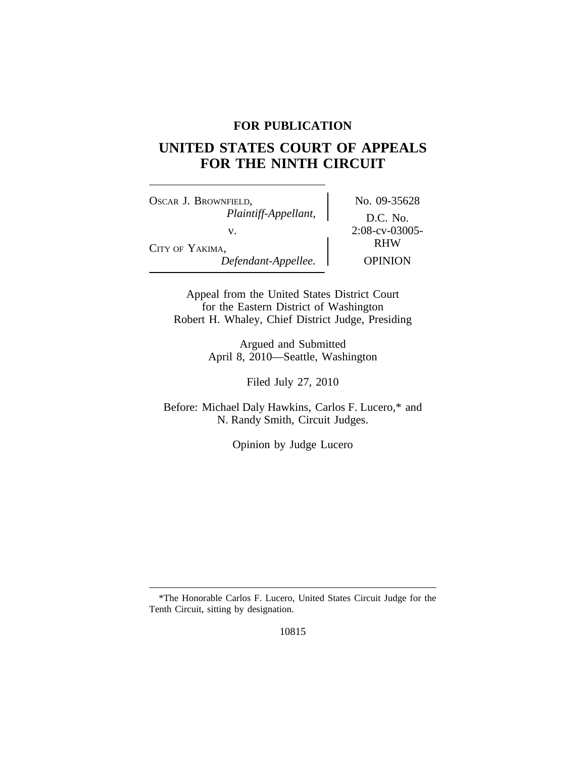## **FOR PUBLICATION**

# **UNITED STATES COURT OF APPEALS FOR THE NINTH CIRCUIT**

OSCAR J. BROWNFIELD, No. 09-35628 *Plaintiff-Appellant,* D.C. No. v. 2:08-cv-03005-CITY OF YAKIMA, *Defendant-Appellee.* OPINION

RHW

Appeal from the United States District Court for the Eastern District of Washington Robert H. Whaley, Chief District Judge, Presiding

> Argued and Submitted April 8, 2010—Seattle, Washington

> > Filed July 27, 2010

Before: Michael Daly Hawkins, Carlos F. Lucero,\* and N. Randy Smith, Circuit Judges.

Opinion by Judge Lucero

<sup>\*</sup>The Honorable Carlos F. Lucero, United States Circuit Judge for the Tenth Circuit, sitting by designation.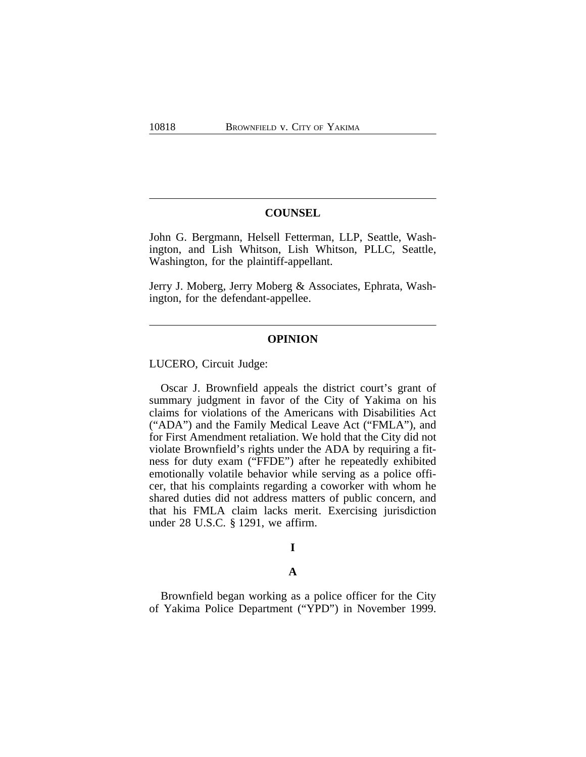#### **COUNSEL**

John G. Bergmann, Helsell Fetterman, LLP, Seattle, Washington, and Lish Whitson, Lish Whitson, PLLC, Seattle, Washington, for the plaintiff-appellant.

Jerry J. Moberg, Jerry Moberg & Associates, Ephrata, Washington, for the defendant-appellee.

#### **OPINION**

LUCERO, Circuit Judge:

Oscar J. Brownfield appeals the district court's grant of summary judgment in favor of the City of Yakima on his claims for violations of the Americans with Disabilities Act ("ADA") and the Family Medical Leave Act ("FMLA"), and for First Amendment retaliation. We hold that the City did not violate Brownfield's rights under the ADA by requiring a fitness for duty exam ("FFDE") after he repeatedly exhibited emotionally volatile behavior while serving as a police officer, that his complaints regarding a coworker with whom he shared duties did not address matters of public concern, and that his FMLA claim lacks merit. Exercising jurisdiction under 28 U.S.C. § 1291, we affirm.

# **I**

#### **A**

Brownfield began working as a police officer for the City of Yakima Police Department ("YPD") in November 1999.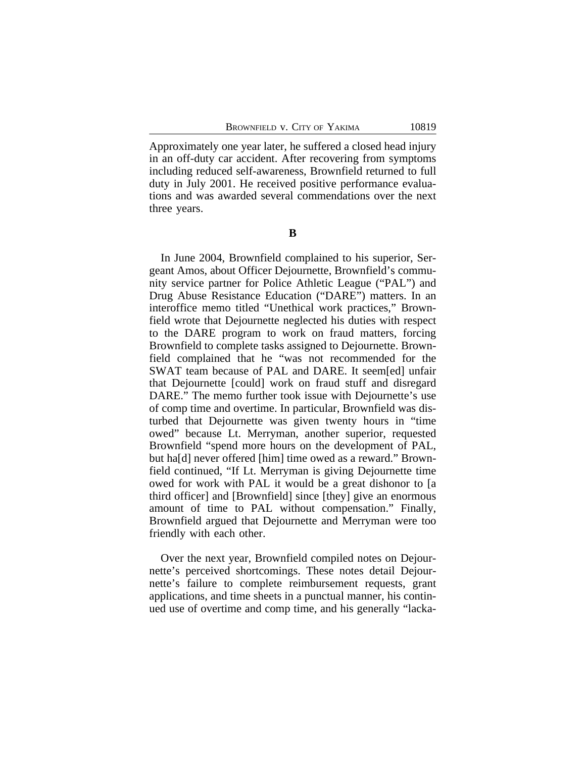Approximately one year later, he suffered a closed head injury in an off-duty car accident. After recovering from symptoms including reduced self-awareness, Brownfield returned to full duty in July 2001. He received positive performance evaluations and was awarded several commendations over the next three years.

**B**

In June 2004, Brownfield complained to his superior, Sergeant Amos, about Officer Dejournette, Brownfield's community service partner for Police Athletic League ("PAL") and Drug Abuse Resistance Education ("DARE") matters. In an interoffice memo titled "Unethical work practices," Brownfield wrote that Dejournette neglected his duties with respect to the DARE program to work on fraud matters, forcing Brownfield to complete tasks assigned to Dejournette. Brownfield complained that he "was not recommended for the SWAT team because of PAL and DARE. It seem[ed] unfair that Dejournette [could] work on fraud stuff and disregard DARE." The memo further took issue with Dejournette's use of comp time and overtime. In particular, Brownfield was disturbed that Dejournette was given twenty hours in "time owed" because Lt. Merryman, another superior, requested Brownfield "spend more hours on the development of PAL, but ha[d] never offered [him] time owed as a reward." Brownfield continued, "If Lt. Merryman is giving Dejournette time owed for work with PAL it would be a great dishonor to [a third officer] and [Brownfield] since [they] give an enormous amount of time to PAL without compensation." Finally, Brownfield argued that Dejournette and Merryman were too friendly with each other.

Over the next year, Brownfield compiled notes on Dejournette's perceived shortcomings. These notes detail Dejournette's failure to complete reimbursement requests, grant applications, and time sheets in a punctual manner, his continued use of overtime and comp time, and his generally "lacka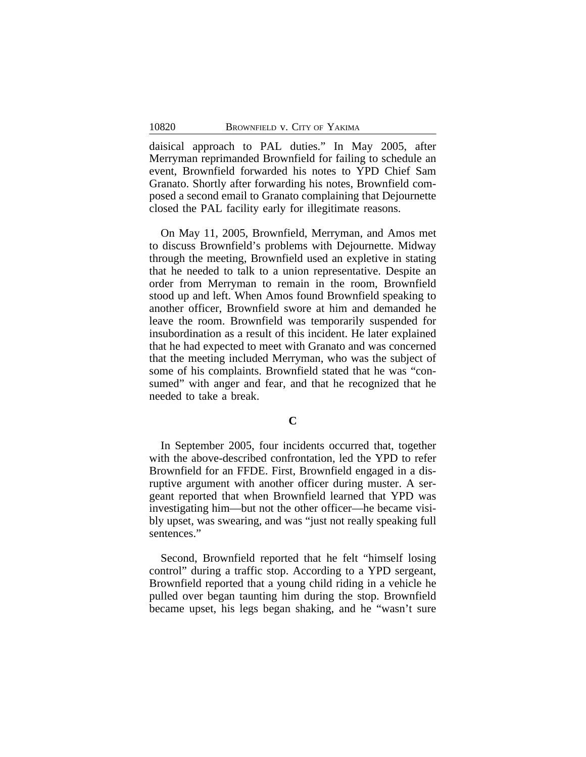daisical approach to PAL duties." In May 2005, after Merryman reprimanded Brownfield for failing to schedule an event, Brownfield forwarded his notes to YPD Chief Sam Granato. Shortly after forwarding his notes, Brownfield composed a second email to Granato complaining that Dejournette closed the PAL facility early for illegitimate reasons.

On May 11, 2005, Brownfield, Merryman, and Amos met to discuss Brownfield's problems with Dejournette. Midway through the meeting, Brownfield used an expletive in stating that he needed to talk to a union representative. Despite an order from Merryman to remain in the room, Brownfield stood up and left. When Amos found Brownfield speaking to another officer, Brownfield swore at him and demanded he leave the room. Brownfield was temporarily suspended for insubordination as a result of this incident. He later explained that he had expected to meet with Granato and was concerned that the meeting included Merryman, who was the subject of some of his complaints. Brownfield stated that he was "consumed" with anger and fear, and that he recognized that he needed to take a break.

In September 2005, four incidents occurred that, together with the above-described confrontation, led the YPD to refer Brownfield for an FFDE. First, Brownfield engaged in a disruptive argument with another officer during muster. A sergeant reported that when Brownfield learned that YPD was investigating him—but not the other officer—he became visibly upset, was swearing, and was "just not really speaking full sentences."

Second, Brownfield reported that he felt "himself losing control" during a traffic stop. According to a YPD sergeant, Brownfield reported that a young child riding in a vehicle he pulled over began taunting him during the stop. Brownfield became upset, his legs began shaking, and he "wasn't sure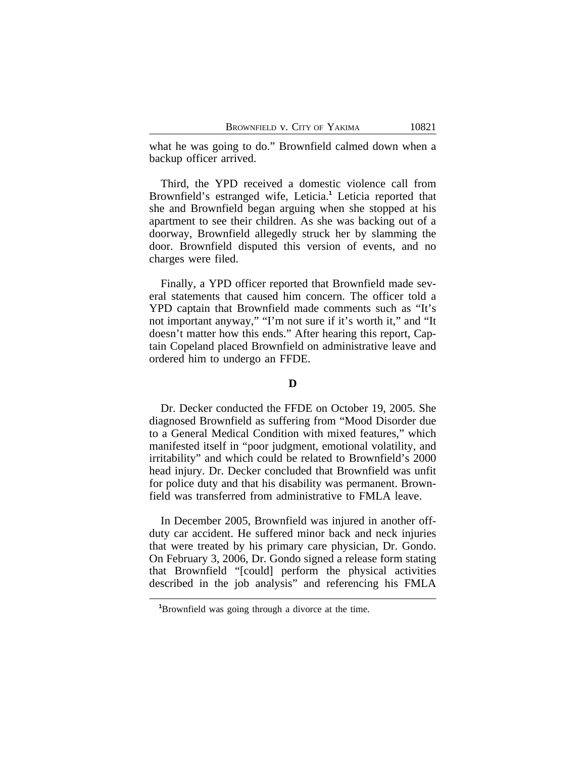what he was going to do." Brownfield calmed down when a backup officer arrived.

Third, the YPD received a domestic violence call from Brownfield's estranged wife, Leticia.**<sup>1</sup>** Leticia reported that she and Brownfield began arguing when she stopped at his apartment to see their children. As she was backing out of a doorway, Brownfield allegedly struck her by slamming the door. Brownfield disputed this version of events, and no charges were filed.

Finally, a YPD officer reported that Brownfield made several statements that caused him concern. The officer told a YPD captain that Brownfield made comments such as "It's not important anyway," "I'm not sure if it's worth it," and "It doesn't matter how this ends." After hearing this report, Captain Copeland placed Brownfield on administrative leave and ordered him to undergo an FFDE.

#### **D**

Dr. Decker conducted the FFDE on October 19, 2005. She diagnosed Brownfield as suffering from "Mood Disorder due to a General Medical Condition with mixed features," which manifested itself in "poor judgment, emotional volatility, and irritability" and which could be related to Brownfield's 2000 head injury. Dr. Decker concluded that Brownfield was unfit for police duty and that his disability was permanent. Brownfield was transferred from administrative to FMLA leave.

In December 2005, Brownfield was injured in another offduty car accident. He suffered minor back and neck injuries that were treated by his primary care physician, Dr. Gondo. On February 3, 2006, Dr. Gondo signed a release form stating that Brownfield "[could] perform the physical activities described in the job analysis" and referencing his FMLA

**<sup>1</sup>**Brownfield was going through a divorce at the time.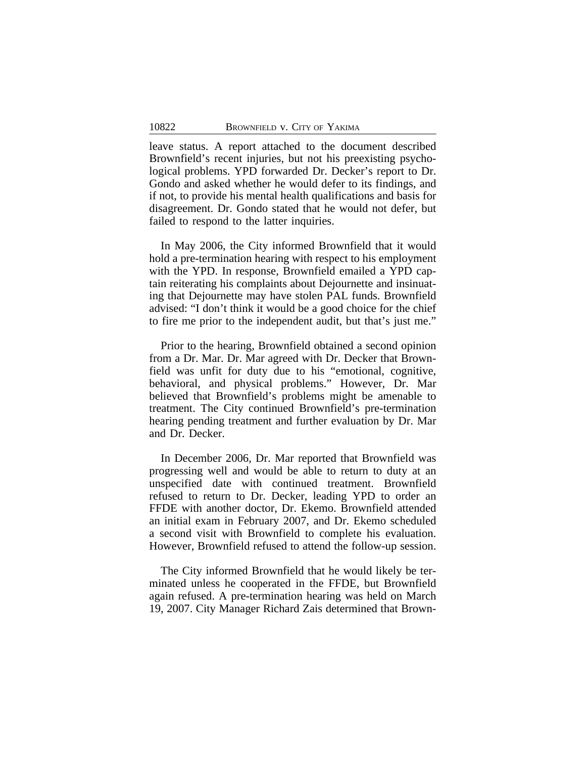leave status. A report attached to the document described Brownfield's recent injuries, but not his preexisting psychological problems. YPD forwarded Dr. Decker's report to Dr. Gondo and asked whether he would defer to its findings, and if not, to provide his mental health qualifications and basis for disagreement. Dr. Gondo stated that he would not defer, but failed to respond to the latter inquiries.

In May 2006, the City informed Brownfield that it would hold a pre-termination hearing with respect to his employment with the YPD. In response, Brownfield emailed a YPD captain reiterating his complaints about Dejournette and insinuating that Dejournette may have stolen PAL funds. Brownfield advised: "I don't think it would be a good choice for the chief to fire me prior to the independent audit, but that's just me."

Prior to the hearing, Brownfield obtained a second opinion from a Dr. Mar. Dr. Mar agreed with Dr. Decker that Brownfield was unfit for duty due to his "emotional, cognitive, behavioral, and physical problems." However, Dr. Mar believed that Brownfield's problems might be amenable to treatment. The City continued Brownfield's pre-termination hearing pending treatment and further evaluation by Dr. Mar and Dr. Decker.

In December 2006, Dr. Mar reported that Brownfield was progressing well and would be able to return to duty at an unspecified date with continued treatment. Brownfield refused to return to Dr. Decker, leading YPD to order an FFDE with another doctor, Dr. Ekemo. Brownfield attended an initial exam in February 2007, and Dr. Ekemo scheduled a second visit with Brownfield to complete his evaluation. However, Brownfield refused to attend the follow-up session.

The City informed Brownfield that he would likely be terminated unless he cooperated in the FFDE, but Brownfield again refused. A pre-termination hearing was held on March 19, 2007. City Manager Richard Zais determined that Brown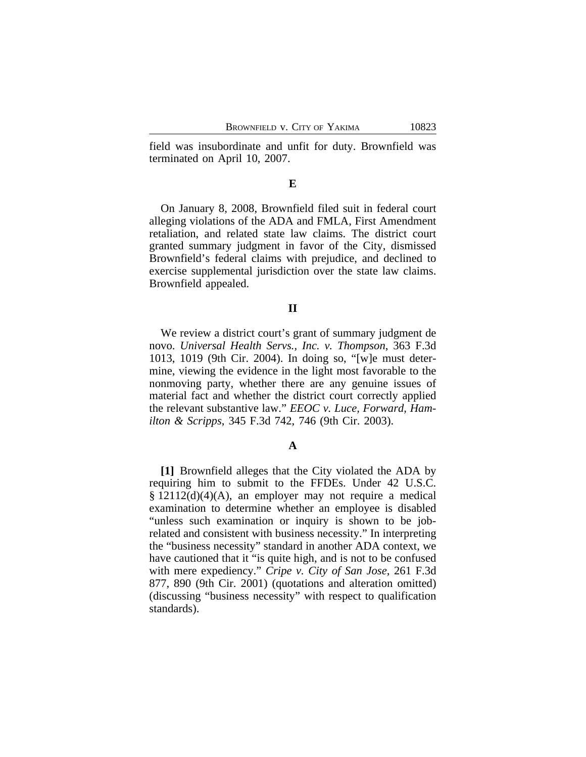field was insubordinate and unfit for duty. Brownfield was terminated on April 10, 2007.

#### **E**

On January 8, 2008, Brownfield filed suit in federal court alleging violations of the ADA and FMLA, First Amendment retaliation, and related state law claims. The district court granted summary judgment in favor of the City, dismissed Brownfield's federal claims with prejudice, and declined to exercise supplemental jurisdiction over the state law claims. Brownfield appealed.

#### **II**

We review a district court's grant of summary judgment de novo. *Universal Health Servs., Inc. v. Thompson*, 363 F.3d 1013, 1019 (9th Cir. 2004). In doing so, "[w]e must determine, viewing the evidence in the light most favorable to the nonmoving party, whether there are any genuine issues of material fact and whether the district court correctly applied the relevant substantive law." *EEOC v. Luce, Forward, Hamilton & Scripps*, 345 F.3d 742, 746 (9th Cir. 2003).

#### **A**

**[1]** Brownfield alleges that the City violated the ADA by requiring him to submit to the FFDEs. Under 42 U.S.C. § 12112(d)(4)(A), an employer may not require a medical examination to determine whether an employee is disabled "unless such examination or inquiry is shown to be jobrelated and consistent with business necessity." In interpreting the "business necessity" standard in another ADA context, we have cautioned that it "is quite high, and is not to be confused with mere expediency." *Cripe v. City of San Jose*, 261 F.3d 877, 890 (9th Cir. 2001) (quotations and alteration omitted) (discussing "business necessity" with respect to qualification standards).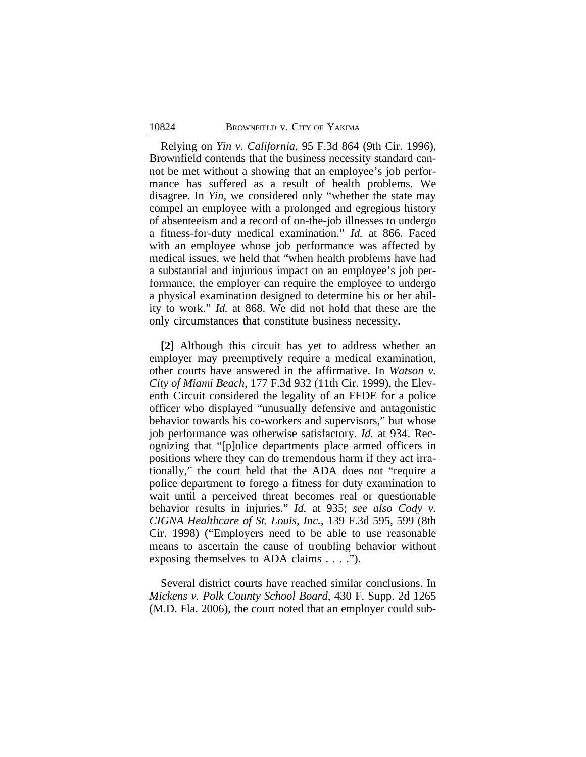Relying on *Yin v. California*, 95 F.3d 864 (9th Cir. 1996), Brownfield contends that the business necessity standard cannot be met without a showing that an employee's job performance has suffered as a result of health problems. We disagree. In *Yin*, we considered only "whether the state may compel an employee with a prolonged and egregious history of absenteeism and a record of on-the-job illnesses to undergo a fitness-for-duty medical examination." *Id.* at 866. Faced with an employee whose job performance was affected by medical issues, we held that "when health problems have had a substantial and injurious impact on an employee's job performance, the employer can require the employee to undergo a physical examination designed to determine his or her ability to work." *Id.* at 868. We did not hold that these are the only circumstances that constitute business necessity.

**[2]** Although this circuit has yet to address whether an employer may preemptively require a medical examination, other courts have answered in the affirmative. In *Watson v. City of Miami Beach*, 177 F.3d 932 (11th Cir. 1999), the Eleventh Circuit considered the legality of an FFDE for a police officer who displayed "unusually defensive and antagonistic behavior towards his co-workers and supervisors," but whose job performance was otherwise satisfactory. *Id.* at 934. Recognizing that "[p]olice departments place armed officers in positions where they can do tremendous harm if they act irrationally," the court held that the ADA does not "require a police department to forego a fitness for duty examination to wait until a perceived threat becomes real or questionable behavior results in injuries." *Id.* at 935; *see also Cody v. CIGNA Healthcare of St. Louis, Inc.*, 139 F.3d 595, 599 (8th Cir. 1998) ("Employers need to be able to use reasonable means to ascertain the cause of troubling behavior without exposing themselves to ADA claims . . . .").

Several district courts have reached similar conclusions. In *Mickens v. Polk County School Board*, 430 F. Supp. 2d 1265 (M.D. Fla. 2006), the court noted that an employer could sub-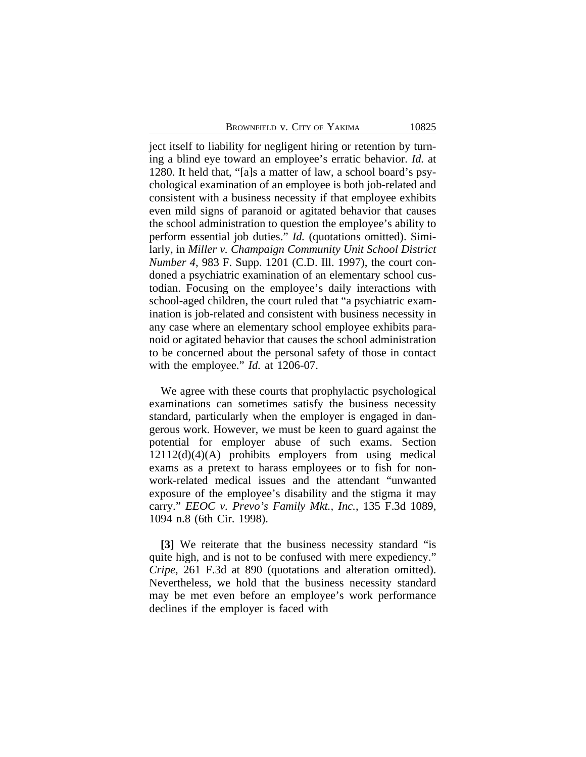ject itself to liability for negligent hiring or retention by turning a blind eye toward an employee's erratic behavior. *Id.* at 1280. It held that, "[a]s a matter of law, a school board's psychological examination of an employee is both job-related and consistent with a business necessity if that employee exhibits even mild signs of paranoid or agitated behavior that causes the school administration to question the employee's ability to perform essential job duties." *Id.* (quotations omitted). Similarly, in *Miller v. Champaign Community Unit School District Number 4*, 983 F. Supp. 1201 (C.D. Ill. 1997), the court condoned a psychiatric examination of an elementary school custodian. Focusing on the employee's daily interactions with school-aged children, the court ruled that "a psychiatric examination is job-related and consistent with business necessity in any case where an elementary school employee exhibits paranoid or agitated behavior that causes the school administration to be concerned about the personal safety of those in contact with the employee." *Id.* at 1206-07.

We agree with these courts that prophylactic psychological examinations can sometimes satisfy the business necessity standard, particularly when the employer is engaged in dangerous work. However, we must be keen to guard against the potential for employer abuse of such exams. Section 12112(d)(4)(A) prohibits employers from using medical exams as a pretext to harass employees or to fish for nonwork-related medical issues and the attendant "unwanted exposure of the employee's disability and the stigma it may carry." *EEOC v. Prevo's Family Mkt., Inc.*, 135 F.3d 1089, 1094 n.8 (6th Cir. 1998).

**[3]** We reiterate that the business necessity standard "is quite high, and is not to be confused with mere expediency." *Cripe*, 261 F.3d at 890 (quotations and alteration omitted). Nevertheless, we hold that the business necessity standard may be met even before an employee's work performance declines if the employer is faced with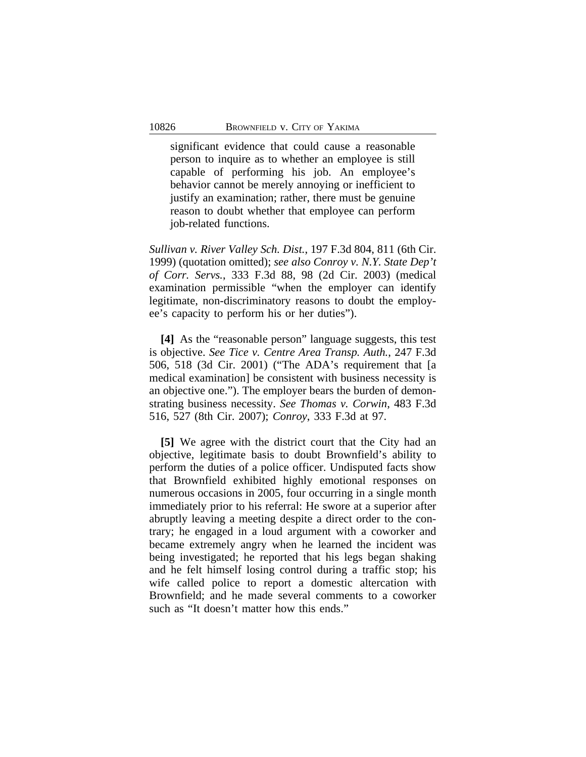significant evidence that could cause a reasonable person to inquire as to whether an employee is still capable of performing his job. An employee's behavior cannot be merely annoying or inefficient to justify an examination; rather, there must be genuine reason to doubt whether that employee can perform job-related functions.

*Sullivan v. River Valley Sch. Dist.*, 197 F.3d 804, 811 (6th Cir. 1999) (quotation omitted); *see also Conroy v. N.Y. State Dep't of Corr. Servs.*, 333 F.3d 88, 98 (2d Cir. 2003) (medical examination permissible "when the employer can identify legitimate, non-discriminatory reasons to doubt the employee's capacity to perform his or her duties").

**[4]** As the "reasonable person" language suggests, this test is objective. *See Tice v. Centre Area Transp. Auth.*, 247 F.3d 506, 518 (3d Cir. 2001) ("The ADA's requirement that [a medical examination] be consistent with business necessity is an objective one."). The employer bears the burden of demonstrating business necessity. *See Thomas v. Corwin*, 483 F.3d 516, 527 (8th Cir. 2007); *Conroy*, 333 F.3d at 97.

**[5]** We agree with the district court that the City had an objective, legitimate basis to doubt Brownfield's ability to perform the duties of a police officer. Undisputed facts show that Brownfield exhibited highly emotional responses on numerous occasions in 2005, four occurring in a single month immediately prior to his referral: He swore at a superior after abruptly leaving a meeting despite a direct order to the contrary; he engaged in a loud argument with a coworker and became extremely angry when he learned the incident was being investigated; he reported that his legs began shaking and he felt himself losing control during a traffic stop; his wife called police to report a domestic altercation with Brownfield; and he made several comments to a coworker such as "It doesn't matter how this ends."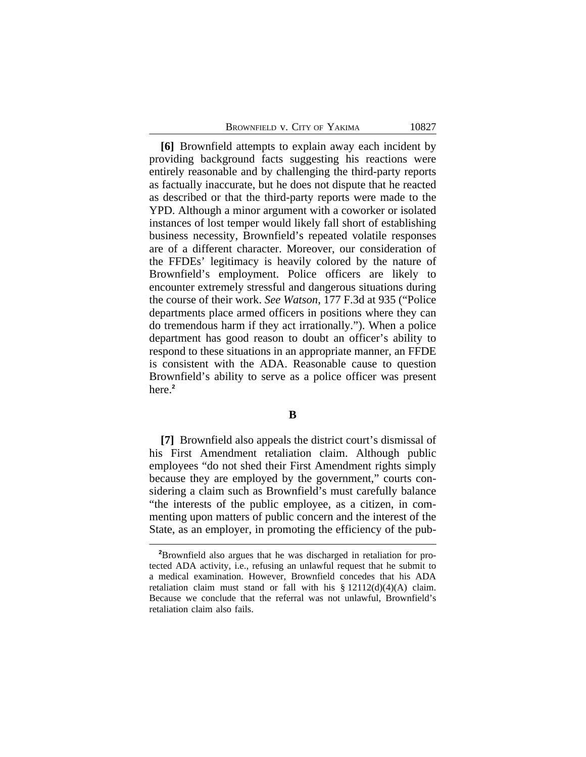**[6]** Brownfield attempts to explain away each incident by providing background facts suggesting his reactions were entirely reasonable and by challenging the third-party reports as factually inaccurate, but he does not dispute that he reacted as described or that the third-party reports were made to the YPD. Although a minor argument with a coworker or isolated instances of lost temper would likely fall short of establishing business necessity, Brownfield's repeated volatile responses are of a different character. Moreover, our consideration of the FFDEs' legitimacy is heavily colored by the nature of Brownfield's employment. Police officers are likely to encounter extremely stressful and dangerous situations during the course of their work. *See Watson*, 177 F.3d at 935 ("Police departments place armed officers in positions where they can do tremendous harm if they act irrationally."). When a police department has good reason to doubt an officer's ability to respond to these situations in an appropriate manner, an FFDE is consistent with the ADA. Reasonable cause to question Brownfield's ability to serve as a police officer was present here.**<sup>2</sup>**

### **B**

**[7]** Brownfield also appeals the district court's dismissal of his First Amendment retaliation claim. Although public employees "do not shed their First Amendment rights simply because they are employed by the government," courts considering a claim such as Brownfield's must carefully balance "the interests of the public employee, as a citizen, in commenting upon matters of public concern and the interest of the State, as an employer, in promoting the efficiency of the pub-

**<sup>2</sup>**Brownfield also argues that he was discharged in retaliation for protected ADA activity, i.e., refusing an unlawful request that he submit to a medical examination. However, Brownfield concedes that his ADA retaliation claim must stand or fall with his  $\S 12112(d)(4)(A)$  claim. Because we conclude that the referral was not unlawful, Brownfield's retaliation claim also fails.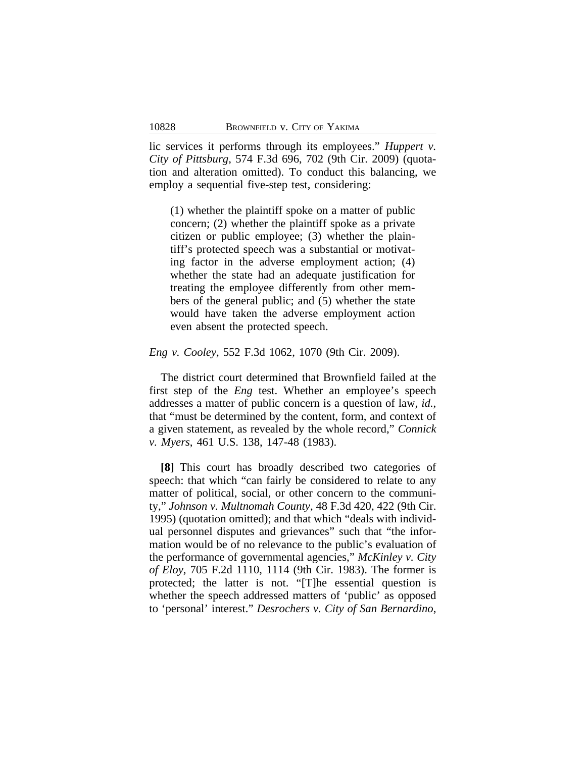lic services it performs through its employees." *Huppert v. City of Pittsburg*, 574 F.3d 696, 702 (9th Cir. 2009) (quotation and alteration omitted). To conduct this balancing, we employ a sequential five-step test, considering:

(1) whether the plaintiff spoke on a matter of public concern; (2) whether the plaintiff spoke as a private citizen or public employee; (3) whether the plaintiff's protected speech was a substantial or motivating factor in the adverse employment action; (4) whether the state had an adequate justification for treating the employee differently from other members of the general public; and (5) whether the state would have taken the adverse employment action even absent the protected speech.

### *Eng v. Cooley*, 552 F.3d 1062, 1070 (9th Cir. 2009).

The district court determined that Brownfield failed at the first step of the *Eng* test. Whether an employee's speech addresses a matter of public concern is a question of law, *id.*, that "must be determined by the content, form, and context of a given statement, as revealed by the whole record," *Connick v. Myers*, 461 U.S. 138, 147-48 (1983).

**[8]** This court has broadly described two categories of speech: that which "can fairly be considered to relate to any matter of political, social, or other concern to the community," *Johnson v. Multnomah County*, 48 F.3d 420, 422 (9th Cir. 1995) (quotation omitted); and that which "deals with individual personnel disputes and grievances" such that "the information would be of no relevance to the public's evaluation of the performance of governmental agencies," *McKinley v. City of Eloy*, 705 F.2d 1110, 1114 (9th Cir. 1983). The former is protected; the latter is not. "[T]he essential question is whether the speech addressed matters of 'public' as opposed to 'personal' interest." *Desrochers v. City of San Bernardino*,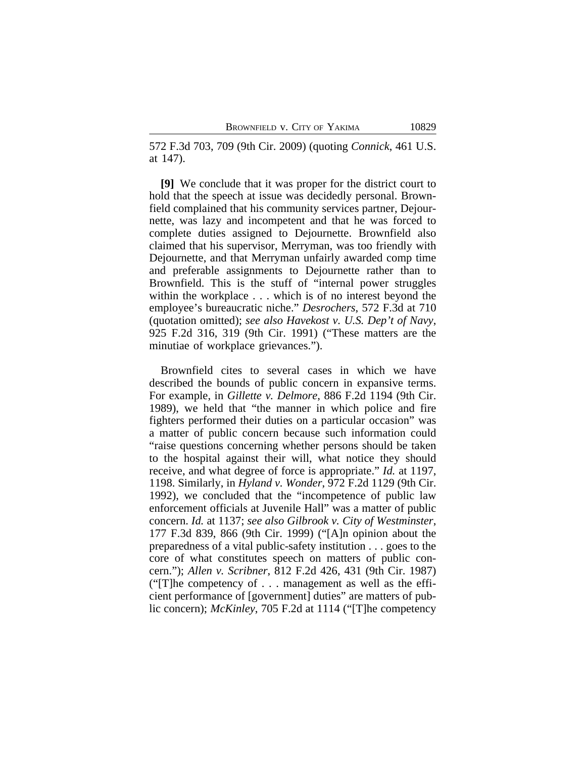572 F.3d 703, 709 (9th Cir. 2009) (quoting *Connick*, 461 U.S. at 147).

**[9]** We conclude that it was proper for the district court to hold that the speech at issue was decidedly personal. Brownfield complained that his community services partner, Dejournette, was lazy and incompetent and that he was forced to complete duties assigned to Dejournette. Brownfield also claimed that his supervisor, Merryman, was too friendly with Dejournette, and that Merryman unfairly awarded comp time and preferable assignments to Dejournette rather than to Brownfield. This is the stuff of "internal power struggles within the workplace ... which is of no interest beyond the employee's bureaucratic niche." *Desrochers*, 572 F.3d at 710 (quotation omitted); *see also Havekost v. U.S. Dep't of Navy*, 925 F.2d 316, 319 (9th Cir. 1991) ("These matters are the minutiae of workplace grievances.").

Brownfield cites to several cases in which we have described the bounds of public concern in expansive terms. For example, in *Gillette v. Delmore*, 886 F.2d 1194 (9th Cir. 1989), we held that "the manner in which police and fire fighters performed their duties on a particular occasion" was a matter of public concern because such information could "raise questions concerning whether persons should be taken to the hospital against their will, what notice they should receive, and what degree of force is appropriate." *Id.* at 1197, 1198. Similarly, in *Hyland v. Wonder*, 972 F.2d 1129 (9th Cir. 1992), we concluded that the "incompetence of public law enforcement officials at Juvenile Hall" was a matter of public concern. *Id.* at 1137; *see also Gilbrook v. City of Westminster*, 177 F.3d 839, 866 (9th Cir. 1999) ("[A]n opinion about the preparedness of a vital public-safety institution . . . goes to the core of what constitutes speech on matters of public concern."); *Allen v. Scribner*, 812 F.2d 426, 431 (9th Cir. 1987) ("[T]he competency of . . . management as well as the efficient performance of [government] duties" are matters of public concern); *McKinley*, 705 F.2d at 1114 ("[T]he competency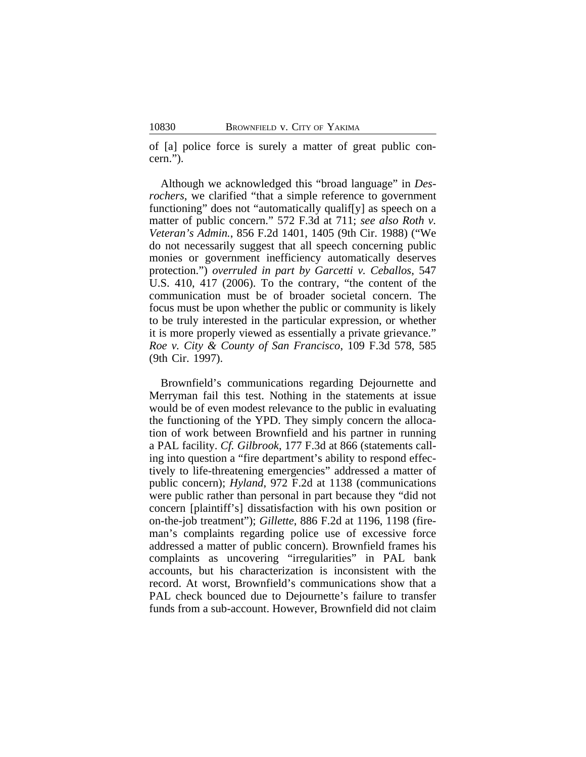of [a] police force is surely a matter of great public concern.").

Although we acknowledged this "broad language" in *Desrochers*, we clarified "that a simple reference to government functioning" does not "automatically qualif[y] as speech on a matter of public concern." 572 F.3d at 711; *see also Roth v. Veteran's Admin.*, 856 F.2d 1401, 1405 (9th Cir. 1988) ("We do not necessarily suggest that all speech concerning public monies or government inefficiency automatically deserves protection.") *overruled in part by Garcetti v. Ceballos*, 547 U.S. 410, 417 (2006). To the contrary, "the content of the communication must be of broader societal concern. The focus must be upon whether the public or community is likely to be truly interested in the particular expression, or whether it is more properly viewed as essentially a private grievance." *Roe v. City & County of San Francisco*, 109 F.3d 578, 585 (9th Cir. 1997).

Brownfield's communications regarding Dejournette and Merryman fail this test. Nothing in the statements at issue would be of even modest relevance to the public in evaluating the functioning of the YPD. They simply concern the allocation of work between Brownfield and his partner in running a PAL facility. *Cf. Gilbrook*, 177 F.3d at 866 (statements calling into question a "fire department's ability to respond effectively to life-threatening emergencies" addressed a matter of public concern); *Hyland*, 972 F.2d at 1138 (communications were public rather than personal in part because they "did not concern [plaintiff's] dissatisfaction with his own position or on-the-job treatment"); *Gillette*, 886 F.2d at 1196, 1198 (fireman's complaints regarding police use of excessive force addressed a matter of public concern). Brownfield frames his complaints as uncovering "irregularities" in PAL bank accounts, but his characterization is inconsistent with the record. At worst, Brownfield's communications show that a PAL check bounced due to Dejournette's failure to transfer funds from a sub-account. However, Brownfield did not claim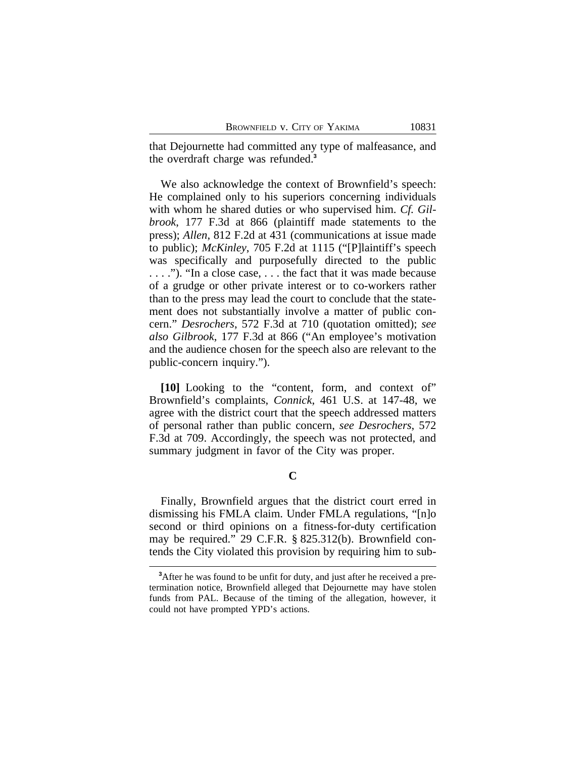that Dejournette had committed any type of malfeasance, and the overdraft charge was refunded.**<sup>3</sup>**

We also acknowledge the context of Brownfield's speech: He complained only to his superiors concerning individuals with whom he shared duties or who supervised him. *Cf. Gilbrook*, 177 F.3d at 866 (plaintiff made statements to the press); *Allen*, 812 F.2d at 431 (communications at issue made to public); *McKinley*, 705 F.2d at 1115 ("[P]laintiff's speech was specifically and purposefully directed to the public . . . ."). "In a close case, . . . the fact that it was made because of a grudge or other private interest or to co-workers rather than to the press may lead the court to conclude that the statement does not substantially involve a matter of public concern." *Desrochers*, 572 F.3d at 710 (quotation omitted); *see also Gilbrook*, 177 F.3d at 866 ("An employee's motivation and the audience chosen for the speech also are relevant to the public-concern inquiry.").

**[10]** Looking to the "content, form, and context of" Brownfield's complaints, *Connick*, 461 U.S. at 147-48, we agree with the district court that the speech addressed matters of personal rather than public concern, *see Desrochers*, 572 F.3d at 709. Accordingly, the speech was not protected, and summary judgment in favor of the City was proper.

**C**

Finally, Brownfield argues that the district court erred in dismissing his FMLA claim. Under FMLA regulations, "[n]o second or third opinions on a fitness-for-duty certification may be required." 29 C.F.R. § 825.312(b). Brownfield contends the City violated this provision by requiring him to sub-

**<sup>3</sup>**After he was found to be unfit for duty, and just after he received a pretermination notice, Brownfield alleged that Dejournette may have stolen funds from PAL. Because of the timing of the allegation, however, it could not have prompted YPD's actions.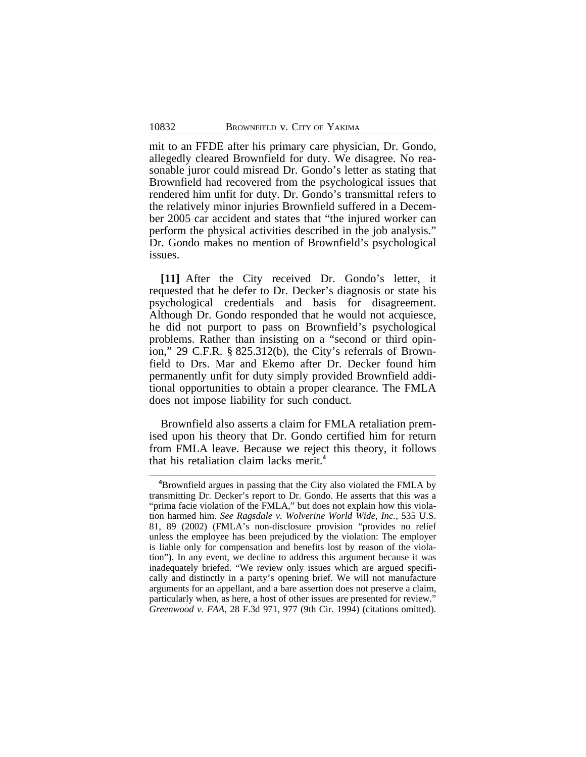mit to an FFDE after his primary care physician, Dr. Gondo, allegedly cleared Brownfield for duty. We disagree. No reasonable juror could misread Dr. Gondo's letter as stating that Brownfield had recovered from the psychological issues that rendered him unfit for duty. Dr. Gondo's transmittal refers to the relatively minor injuries Brownfield suffered in a December 2005 car accident and states that "the injured worker can perform the physical activities described in the job analysis." Dr. Gondo makes no mention of Brownfield's psychological issues.

**[11]** After the City received Dr. Gondo's letter, it requested that he defer to Dr. Decker's diagnosis or state his psychological credentials and basis for disagreement. Although Dr. Gondo responded that he would not acquiesce, he did not purport to pass on Brownfield's psychological problems. Rather than insisting on a "second or third opinion," 29 C.F.R. § 825.312(b), the City's referrals of Brownfield to Drs. Mar and Ekemo after Dr. Decker found him permanently unfit for duty simply provided Brownfield additional opportunities to obtain a proper clearance. The FMLA does not impose liability for such conduct.

Brownfield also asserts a claim for FMLA retaliation premised upon his theory that Dr. Gondo certified him for return from FMLA leave. Because we reject this theory, it follows that his retaliation claim lacks merit.**<sup>4</sup>**

**<sup>4</sup>**Brownfield argues in passing that the City also violated the FMLA by transmitting Dr. Decker's report to Dr. Gondo. He asserts that this was a "prima facie violation of the FMLA," but does not explain how this violation harmed him. *See Ragsdale v. Wolverine World Wide, Inc.*, 535 U.S. 81, 89 (2002) (FMLA's non-disclosure provision "provides no relief unless the employee has been prejudiced by the violation: The employer is liable only for compensation and benefits lost by reason of the violation"). In any event, we decline to address this argument because it was inadequately briefed. "We review only issues which are argued specifically and distinctly in a party's opening brief. We will not manufacture arguments for an appellant, and a bare assertion does not preserve a claim, particularly when, as here, a host of other issues are presented for review." *Greenwood v. FAA*, 28 F.3d 971, 977 (9th Cir. 1994) (citations omitted).